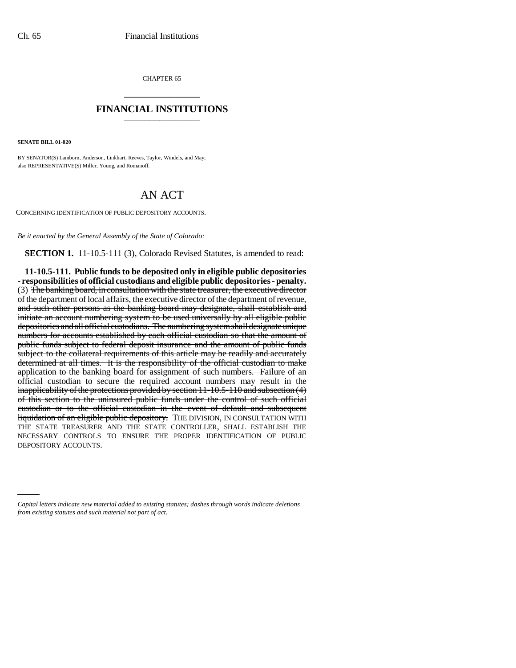CHAPTER 65 \_\_\_\_\_\_\_\_\_\_\_\_\_\_\_

## **FINANCIAL INSTITUTIONS** \_\_\_\_\_\_\_\_\_\_\_\_\_\_\_

**SENATE BILL 01-020**

BY SENATOR(S) Lamborn, Anderson, Linkhart, Reeves, Taylor, Windels, and May; also REPRESENTATIVE(S) Miller, Young, and Romanoff.

## AN ACT

CONCERNING IDENTIFICATION OF PUBLIC DEPOSITORY ACCOUNTS.

*Be it enacted by the General Assembly of the State of Colorado:*

**SECTION 1.** 11-10.5-111 (3), Colorado Revised Statutes, is amended to read:

DEPOSITORY ACCOUNTS.**11-10.5-111. Public funds to be deposited only in eligible public depositories - responsibilities of official custodians and eligible public depositories - penalty.** (3) The banking board, in consultation with the state treasurer, the executive director of the department of local affairs, the executive director of the department of revenue, and such other persons as the banking board may designate, shall establish and initiate an account numbering system to be used universally by all eligible public depositories and all official custodians. The numbering system shall designate unique numbers for accounts established by each official custodian so that the amount of public funds subject to federal deposit insurance and the amount of public funds subject to the collateral requirements of this article may be readily and accurately determined at all times. It is the responsibility of the official custodian to make application to the banking board for assignment of such numbers. Failure of an official custodian to secure the required account numbers may result in the inapplicability of the protections provided by section 11-10.5-110 and subsection (4) of this section to the uninsured public funds under the control of such official custodian or to the official custodian in the event of default and subsequent liquidation of an eligible public depository. THE DIVISION, IN CONSULTATION WITH THE STATE TREASURER AND THE STATE CONTROLLER, SHALL ESTABLISH THE NECESSARY CONTROLS TO ENSURE THE PROPER IDENTIFICATION OF PUBLIC

*Capital letters indicate new material added to existing statutes; dashes through words indicate deletions from existing statutes and such material not part of act.*